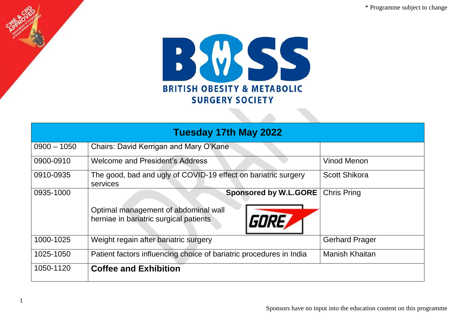\* Programme subject to change



| Tuesday 17th May 2022 |                                                                                                                         |                       |  |
|-----------------------|-------------------------------------------------------------------------------------------------------------------------|-----------------------|--|
| $0900 - 1050$         | Chairs: David Kerrigan and Mary O'Kane                                                                                  |                       |  |
| 0900-0910             | <b>Welcome and President's Address</b>                                                                                  | <b>Vinod Menon</b>    |  |
| 0910-0935             | The good, bad and ugly of COVID-19 effect on bariatric surgery<br>services                                              | <b>Scott Shikora</b>  |  |
| 0935-1000             | <b>Sponsored by W.L.GORE</b><br>Optimal management of abdominal wall<br>GORE,<br>herniae in bariatric surgical patients | <b>Chris Pring</b>    |  |
| 1000-1025             | Weight regain after bariatric surgery                                                                                   | <b>Gerhard Prager</b> |  |
| 1025-1050             | Patient factors influencing choice of bariatric procedures in India                                                     | <b>Manish Khaitan</b> |  |
| 1050-1120             | <b>Coffee and Exhibition</b>                                                                                            |                       |  |

1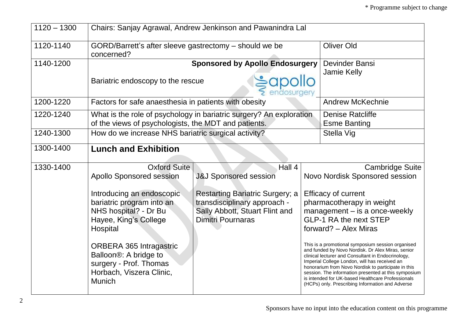| $1120 - 1300$ | Chairs: Sanjay Agrawal, Andrew Jenkinson and Pawanindra Lal                                                                                                                                                                                                                                                                   |                                                                                                                                                                                    |  |                                                                                                                                                                                                                                                                                                                                                                                                                                                                                                                                                                                                                                                         |
|---------------|-------------------------------------------------------------------------------------------------------------------------------------------------------------------------------------------------------------------------------------------------------------------------------------------------------------------------------|------------------------------------------------------------------------------------------------------------------------------------------------------------------------------------|--|---------------------------------------------------------------------------------------------------------------------------------------------------------------------------------------------------------------------------------------------------------------------------------------------------------------------------------------------------------------------------------------------------------------------------------------------------------------------------------------------------------------------------------------------------------------------------------------------------------------------------------------------------------|
| 1120-1140     | GORD/Barrett's after sleeve gastrectomy – should we be<br>concerned?                                                                                                                                                                                                                                                          |                                                                                                                                                                                    |  | <b>Oliver Old</b>                                                                                                                                                                                                                                                                                                                                                                                                                                                                                                                                                                                                                                       |
| 1140-1200     | <b>Sponsored by Apollo Endosurgery</b><br>Devinder Bansi<br><b>Jamie Kelly</b><br>Bariatric endoscopy to the rescue                                                                                                                                                                                                           |                                                                                                                                                                                    |  |                                                                                                                                                                                                                                                                                                                                                                                                                                                                                                                                                                                                                                                         |
| 1200-1220     | Factors for safe anaesthesia in patients with obesity                                                                                                                                                                                                                                                                         |                                                                                                                                                                                    |  | <b>Andrew McKechnie</b>                                                                                                                                                                                                                                                                                                                                                                                                                                                                                                                                                                                                                                 |
| 1220-1240     | What is the role of psychology in bariatric surgery? An exploration<br>of the views of psychologists, the MDT and patients.                                                                                                                                                                                                   |                                                                                                                                                                                    |  | <b>Denise Ratcliffe</b><br><b>Esme Banting</b>                                                                                                                                                                                                                                                                                                                                                                                                                                                                                                                                                                                                          |
| 1240-1300     | How do we increase NHS bariatric surgical activity?                                                                                                                                                                                                                                                                           |                                                                                                                                                                                    |  | Stella Vig                                                                                                                                                                                                                                                                                                                                                                                                                                                                                                                                                                                                                                              |
| 1300-1400     | <b>Lunch and Exhibition</b>                                                                                                                                                                                                                                                                                                   |                                                                                                                                                                                    |  |                                                                                                                                                                                                                                                                                                                                                                                                                                                                                                                                                                                                                                                         |
| 1330-1400     | <b>Oxford Suite</b><br><b>Apollo Sponsored session</b><br>Introducing an endoscopic<br>bariatric program into an<br>NHS hospital? - Dr Bu<br>Hayee, King's College<br>Hospital<br><b>ORBERA 365 Intragastric</b><br>Balloon <sup>®</sup> : A bridge to<br>surgery - Prof. Thomas<br>Horbach, Viszera Clinic,<br><b>Munich</b> | Hall 4<br><b>J&amp;J Sponsored session</b><br><b>Restarting Bariatric Surgery; a</b><br>transdisciplinary approach -<br>Sally Abbott, Stuart Flint and<br><b>Dimitri Pournaras</b> |  | <b>Cambridge Suite</b><br>Novo Nordisk Sponsored session<br><b>Efficacy of current</b><br>pharmacotherapy in weight<br>management - is a once-weekly<br><b>GLP-1 RA the next STEP</b><br>forward? - Alex Miras<br>This is a promotional symposium session organised<br>and funded by Novo Nordisk. Dr Alex Miras, senior<br>clinical lecturer and Consultant in Endocrinology,<br>Imperial College London, will has received an<br>honorarium from Novo Nordisk to participate in this<br>session. The information presented at this symposium<br>is intended for UK-based Healthcare Professionals<br>(HCPs) only. Prescribing Information and Adverse |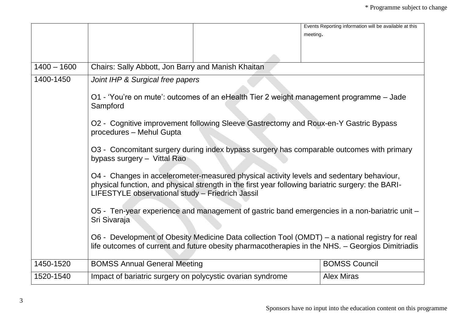|               | meeting.                                                                                                                                                                                                                                          | Events Reporting information will be available at this |  |
|---------------|---------------------------------------------------------------------------------------------------------------------------------------------------------------------------------------------------------------------------------------------------|--------------------------------------------------------|--|
|               |                                                                                                                                                                                                                                                   |                                                        |  |
| $1400 - 1600$ | Chairs: Sally Abbott, Jon Barry and Manish Khaitan                                                                                                                                                                                                |                                                        |  |
| 1400-1450     | Joint IHP & Surgical free papers                                                                                                                                                                                                                  |                                                        |  |
|               | O1 - 'You're on mute': outcomes of an eHealth Tier 2 weight management programme - Jade<br>Sampford                                                                                                                                               |                                                        |  |
|               | O2 - Cognitive improvement following Sleeve Gastrectomy and Roux-en-Y Gastric Bypass<br>procedures - Mehul Gupta                                                                                                                                  |                                                        |  |
|               | O3 - Concomitant surgery during index bypass surgery has comparable outcomes with primary<br>bypass surgery - Vittal Rao                                                                                                                          |                                                        |  |
|               | O4 - Changes in accelerometer-measured physical activity levels and sedentary behaviour,<br>physical function, and physical strength in the first year following bariatric surgery: the BARI-<br>LIFESTYLE observational study - Friedrich Jassil |                                                        |  |
|               | O5 - Ten-year experience and management of gastric band emergencies in a non-bariatric unit -<br>Sri Sivaraja                                                                                                                                     |                                                        |  |
|               | O6 - Development of Obesity Medicine Data collection Tool (OMDT) – a national registry for real<br>life outcomes of current and future obesity pharmacotherapies in the NHS. - Georgios Dimitriadis                                               |                                                        |  |
| 1450-1520     | <b>BOMSS Annual General Meeting</b>                                                                                                                                                                                                               | <b>BOMSS Council</b>                                   |  |
| 1520-1540     | Impact of bariatric surgery on polycystic ovarian syndrome                                                                                                                                                                                        | <b>Alex Miras</b>                                      |  |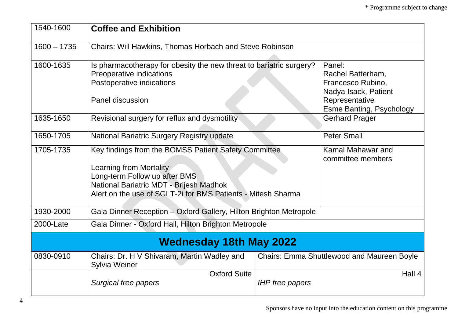| 1540-1600     | <b>Coffee and Exhibition</b>                                                                                                                                                                                                |                        |                                                                                            |
|---------------|-----------------------------------------------------------------------------------------------------------------------------------------------------------------------------------------------------------------------------|------------------------|--------------------------------------------------------------------------------------------|
| $1600 - 1735$ | Chairs: Will Hawkins, Thomas Horbach and Steve Robinson                                                                                                                                                                     |                        |                                                                                            |
| 1600-1635     | Is pharmacotherapy for obesity the new threat to bariatric surgery?<br>Preoperative indications<br>Postoperative indications<br>Panel discussion                                                                            |                        | Panel:<br>Rachel Batterham,<br>Francesco Rubino,<br>Nadya Isack, Patient<br>Representative |
| 1635-1650     | Revisional surgery for reflux and dysmotility                                                                                                                                                                               |                        | <b>Esme Banting, Psychology</b><br><b>Gerhard Prager</b>                                   |
| 1650-1705     | National Bariatric Surgery Registry update                                                                                                                                                                                  |                        | <b>Peter Small</b>                                                                         |
| 1705-1735     | Key findings from the BOMSS Patient Safety Committee<br>Learning from Mortality<br>Long-term Follow up after BMS<br>National Bariatric MDT - Brijesh Madhok<br>Alert on the use of SGLT-2i for BMS Patients - Mitesh Sharma |                        | Kamal Mahawar and<br>committee members                                                     |
| 1930-2000     | Gala Dinner Reception - Oxford Gallery, Hilton Brighton Metropole                                                                                                                                                           |                        |                                                                                            |
| 2000-Late     | Gala Dinner - Oxford Hall, Hilton Brighton Metropole                                                                                                                                                                        |                        |                                                                                            |
|               | <b>Wednesday 18th May 2022</b>                                                                                                                                                                                              |                        |                                                                                            |
| 0830-0910     | Chairs: Dr. H V Shivaram, Martin Wadley and<br><b>Sylvia Weiner</b>                                                                                                                                                         |                        | Chairs: Emma Shuttlewood and Maureen Boyle                                                 |
|               | <b>Oxford Suite</b><br>Surgical free papers                                                                                                                                                                                 | <b>IHP</b> free papers | Hall 4                                                                                     |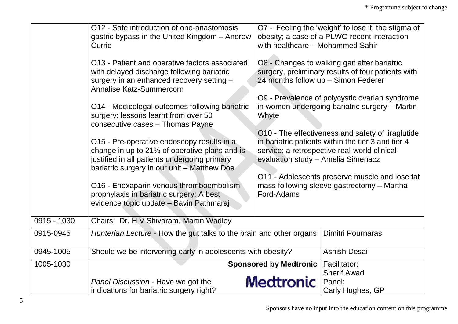|             | O12 - Safe introduction of one-anastomosis<br>gastric bypass in the United Kingdom - Andrew<br>Currie<br>O13 - Patient and operative factors associated<br>with delayed discharge following bariatric<br>surgery in an enhanced recovery setting -<br>Annalise Katz-Summercorn<br>O14 - Medicolegal outcomes following bariatric<br>surgery: lessons learnt from over 50<br>consecutive cases - Thomas Payne<br>O15 - Pre-operative endoscopy results in a<br>change in up to 21% of operative plans and is<br>justified in all patients undergoing primary<br>bariatric surgery in our unit - Matthew Doe<br>O16 - Enoxaparin venous thromboembolism<br>prophylaxis in bariatric surgery: A best<br>evidence topic update - Bavin Pathmaraj | with healthcare - Mohammed Sahir<br>Whyte<br>evaluation study - Amelia Simenacz<br>Ford-Adams | O7 - Feeling the 'weight' to lose it, the stigma of<br>obesity; a case of a PLWO recent interaction<br>O8 - Changes to walking gait after bariatric<br>surgery, preliminary results of four patients with<br>24 months follow up - Simon Federer<br>O9 - Prevalence of polycystic ovarian syndrome<br>in women undergoing bariatric surgery - Martin<br>O10 - The effectiveness and safety of liraglutide<br>in bariatric patients within the tier 3 and tier 4<br>service; a retrospective real-world clinical<br>O11 - Adolescents preserve muscle and lose fat<br>mass following sleeve gastrectomy - Martha |
|-------------|----------------------------------------------------------------------------------------------------------------------------------------------------------------------------------------------------------------------------------------------------------------------------------------------------------------------------------------------------------------------------------------------------------------------------------------------------------------------------------------------------------------------------------------------------------------------------------------------------------------------------------------------------------------------------------------------------------------------------------------------|-----------------------------------------------------------------------------------------------|-----------------------------------------------------------------------------------------------------------------------------------------------------------------------------------------------------------------------------------------------------------------------------------------------------------------------------------------------------------------------------------------------------------------------------------------------------------------------------------------------------------------------------------------------------------------------------------------------------------------|
| 0915 - 1030 | Chairs: Dr. H V Shivaram, Martin Wadley                                                                                                                                                                                                                                                                                                                                                                                                                                                                                                                                                                                                                                                                                                      |                                                                                               |                                                                                                                                                                                                                                                                                                                                                                                                                                                                                                                                                                                                                 |
| 0915-0945   | Hunterian Lecture - How the gut talks to the brain and other organs                                                                                                                                                                                                                                                                                                                                                                                                                                                                                                                                                                                                                                                                          |                                                                                               | <b>Dimitri Pournaras</b>                                                                                                                                                                                                                                                                                                                                                                                                                                                                                                                                                                                        |
| 0945-1005   | Should we be intervening early in adolescents with obesity?                                                                                                                                                                                                                                                                                                                                                                                                                                                                                                                                                                                                                                                                                  |                                                                                               | <b>Ashish Desai</b>                                                                                                                                                                                                                                                                                                                                                                                                                                                                                                                                                                                             |
| 1005-1030   | Panel Discussion - Have we got the<br>indications for bariatric surgery right?                                                                                                                                                                                                                                                                                                                                                                                                                                                                                                                                                                                                                                                               | <b>Sponsored by Medtronic</b><br><b>Medtronic</b>                                             | Facilitator:<br><b>Sherif Awad</b><br>Panel:<br>Carly Hughes, GP                                                                                                                                                                                                                                                                                                                                                                                                                                                                                                                                                |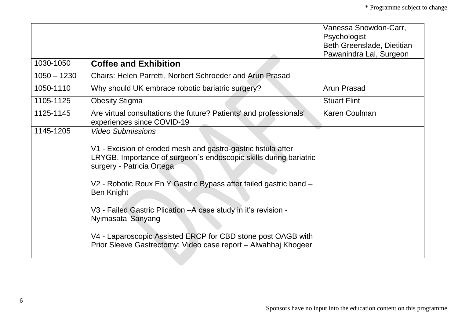|               |                                                                                                                                                                                                                                                                                                                                                                                                                                                                                                                 | Vanessa Snowdon-Carr,<br>Psychologist<br>Beth Greenslade, Dietitian |
|---------------|-----------------------------------------------------------------------------------------------------------------------------------------------------------------------------------------------------------------------------------------------------------------------------------------------------------------------------------------------------------------------------------------------------------------------------------------------------------------------------------------------------------------|---------------------------------------------------------------------|
|               |                                                                                                                                                                                                                                                                                                                                                                                                                                                                                                                 | Pawanindra Lal, Surgeon                                             |
| 1030-1050     | <b>Coffee and Exhibition</b>                                                                                                                                                                                                                                                                                                                                                                                                                                                                                    |                                                                     |
| $1050 - 1230$ | Chairs: Helen Parretti, Norbert Schroeder and Arun Prasad                                                                                                                                                                                                                                                                                                                                                                                                                                                       |                                                                     |
| 1050-1110     | Why should UK embrace robotic bariatric surgery?                                                                                                                                                                                                                                                                                                                                                                                                                                                                | Arun Prasad                                                         |
| 1105-1125     | <b>Obesity Stigma</b>                                                                                                                                                                                                                                                                                                                                                                                                                                                                                           | <b>Stuart Flint</b>                                                 |
| 1125-1145     | Are virtual consultations the future? Patients' and professionals'<br>experiences since COVID-19                                                                                                                                                                                                                                                                                                                                                                                                                | <b>Karen Coulman</b>                                                |
| 1145-1205     | <b>Video Submissions</b><br>V1 - Excision of eroded mesh and gastro-gastric fistula after<br>LRYGB. Importance of surgeon's endoscopic skills during bariatric<br>surgery - Patricia Ortega<br>V2 - Robotic Roux En Y Gastric Bypass after failed gastric band -<br><b>Ben Knight</b><br>V3 - Failed Gastric Plication - A case study in it's revision -<br>Nyimasata Sanyang<br>V4 - Laparoscopic Assisted ERCP for CBD stone post OAGB with<br>Prior Sleeve Gastrectomy: Video case report - Alwahhaj Khogeer |                                                                     |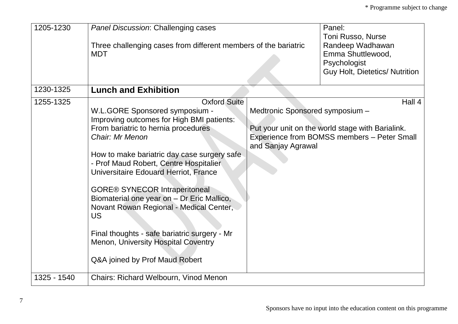| 1205-1230   | <b>Panel Discussion: Challenging cases</b><br>Three challenging cases from different members of the bariatric<br><b>MDT</b>                                                                                                                                                                                                                                                                                                                                                                                                                                    |                                                       | Panel:<br><b>Toni Russo, Nurse</b><br>Randeep Wadhawan<br>Emma Shuttlewood,<br>Psychologist<br><b>Guy Holt, Dietetics/ Nutrition</b> |
|-------------|----------------------------------------------------------------------------------------------------------------------------------------------------------------------------------------------------------------------------------------------------------------------------------------------------------------------------------------------------------------------------------------------------------------------------------------------------------------------------------------------------------------------------------------------------------------|-------------------------------------------------------|--------------------------------------------------------------------------------------------------------------------------------------|
| 1230-1325   | <b>Lunch and Exhibition</b>                                                                                                                                                                                                                                                                                                                                                                                                                                                                                                                                    |                                                       |                                                                                                                                      |
| 1255-1325   | <b>Oxford Suite</b><br>W.L.GORE Sponsored symposium -<br>Improving outcomes for High BMI patients:<br>From bariatric to hernia procedures<br>Chair: Mr Menon<br>How to make bariatric day case surgery safe<br>- Prof Maud Robert, Centre Hospitalier<br>Universitaire Edouard Herriot, France<br><b>GORE® SYNECOR Intraperitoneal</b><br>Biomaterial one year on - Dr Eric Mallico,<br>Novant Rowan Regional - Medical Center,<br>US<br>Final thoughts - safe bariatric surgery - Mr<br>Menon, University Hospital Coventry<br>Q&A joined by Prof Maud Robert | Medtronic Sponsored symposium -<br>and Sanjay Agrawal | Hall 4<br>Put your unit on the world stage with Barialink.<br>Experience from BOMSS members - Peter Small                            |
| 1325 - 1540 | Chairs: Richard Welbourn, Vinod Menon                                                                                                                                                                                                                                                                                                                                                                                                                                                                                                                          |                                                       |                                                                                                                                      |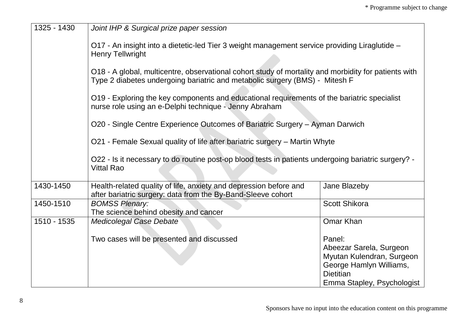| 1325 - 1430 | Joint IHP & Surgical prize paper session                                                                                                                                            |                                                                                                                                             |  |
|-------------|-------------------------------------------------------------------------------------------------------------------------------------------------------------------------------------|---------------------------------------------------------------------------------------------------------------------------------------------|--|
|             | O17 - An insight into a dietetic-led Tier 3 weight management service providing Liraglutide -<br><b>Henry Tellwright</b>                                                            |                                                                                                                                             |  |
|             | O18 - A global, multicentre, observational cohort study of mortality and morbidity for patients with<br>Type 2 diabetes undergoing bariatric and metabolic surgery (BMS) - Mitesh F |                                                                                                                                             |  |
|             | O19 - Exploring the key components and educational requirements of the bariatric specialist<br>nurse role using an e-Delphi technique - Jenny Abraham                               |                                                                                                                                             |  |
|             | O20 - Single Centre Experience Outcomes of Bariatric Surgery - Ayman Darwich                                                                                                        |                                                                                                                                             |  |
|             | O21 - Female Sexual quality of life after bariatric surgery – Martin Whyte                                                                                                          |                                                                                                                                             |  |
|             | O22 - Is it necessary to do routine post-op blood tests in patients undergoing bariatric surgery? -<br><b>Vittal Rao</b>                                                            |                                                                                                                                             |  |
| 1430-1450   | Health-related quality of life, anxiety and depression before and<br>after bariatric surgery: data from the By-Band-Sleeve cohort                                                   | Jane Blazeby                                                                                                                                |  |
| 1450-1510   | <b>BOMSS Plenary:</b><br>The science behind obesity and cancer                                                                                                                      | <b>Scott Shikora</b>                                                                                                                        |  |
| 1510 - 1535 | <b>Medicolegal Case Debate</b>                                                                                                                                                      | Omar Khan                                                                                                                                   |  |
|             | Two cases will be presented and discussed                                                                                                                                           | Panel:<br>Abeezar Sarela, Surgeon<br>Myutan Kulendran, Surgeon<br>George Hamlyn Williams,<br><b>Dietitian</b><br>Emma Stapley, Psychologist |  |